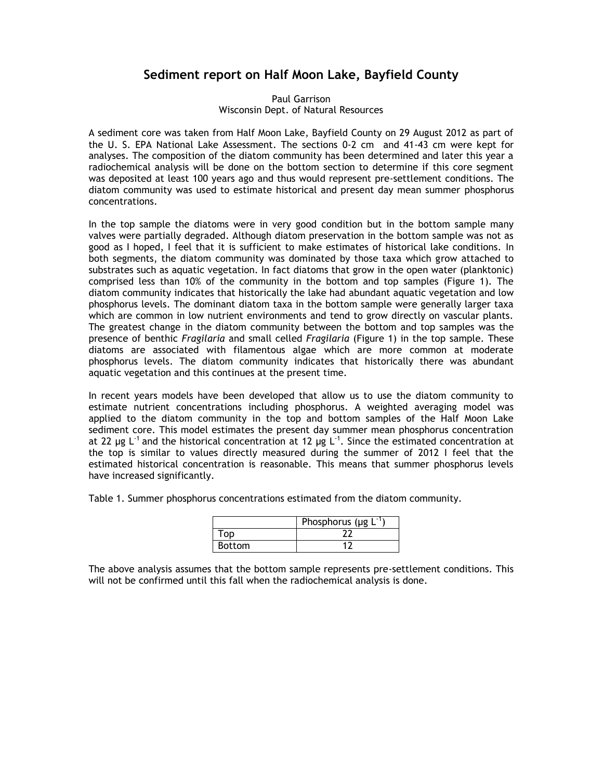## **Sediment report on Half Moon Lake, Bayfield County**

## Paul Garrison Wisconsin Dept. of Natural Resources

A sediment core was taken from Half Moon Lake, Bayfield County on 29 August 2012 as part of the U. S. EPA National Lake Assessment. The sections 0-2 cm and 41-43 cm were kept for analyses. The composition of the diatom community has been determined and later this year a radiochemical analysis will be done on the bottom section to determine if this core segment was deposited at least 100 years ago and thus would represent pre-settlement conditions. The diatom community was used to estimate historical and present day mean summer phosphorus concentrations.

In the top sample the diatoms were in very good condition but in the bottom sample many valves were partially degraded. Although diatom preservation in the bottom sample was not as good as I hoped, I feel that it is sufficient to make estimates of historical lake conditions. In both segments, the diatom community was dominated by those taxa which grow attached to substrates such as aquatic vegetation. In fact diatoms that grow in the open water (planktonic) comprised less than 10% of the community in the bottom and top samples (Figure 1). The diatom community indicates that historically the lake had abundant aquatic vegetation and low phosphorus levels. The dominant diatom taxa in the bottom sample were generally larger taxa which are common in low nutrient environments and tend to grow directly on vascular plants. The greatest change in the diatom community between the bottom and top samples was the presence of benthic *Fragilaria* and small celled *Fragilaria* (Figure 1) in the top sample. These diatoms are associated with filamentous algae which are more common at moderate phosphorus levels. The diatom community indicates that historically there was abundant aquatic vegetation and this continues at the present time.

In recent years models have been developed that allow us to use the diatom community to estimate nutrient concentrations including phosphorus. A weighted averaging model was applied to the diatom community in the top and bottom samples of the Half Moon Lake sediment core. This model estimates the present day summer mean phosphorus concentration at 22 µg L<sup>-1</sup> and the historical concentration at 12 µg L<sup>-1</sup>. Since the estimated concentration at the top is similar to values directly measured during the summer of 2012 I feel that the estimated historical concentration is reasonable. This means that summer phosphorus levels have increased significantly.

Table 1. Summer phosphorus concentrations estimated from the diatom community.

|               | Phosphorus ( $\mu$ g L |
|---------------|------------------------|
|               |                        |
| <b>Bottom</b> |                        |

The above analysis assumes that the bottom sample represents pre-settlement conditions. This will not be confirmed until this fall when the radiochemical analysis is done.